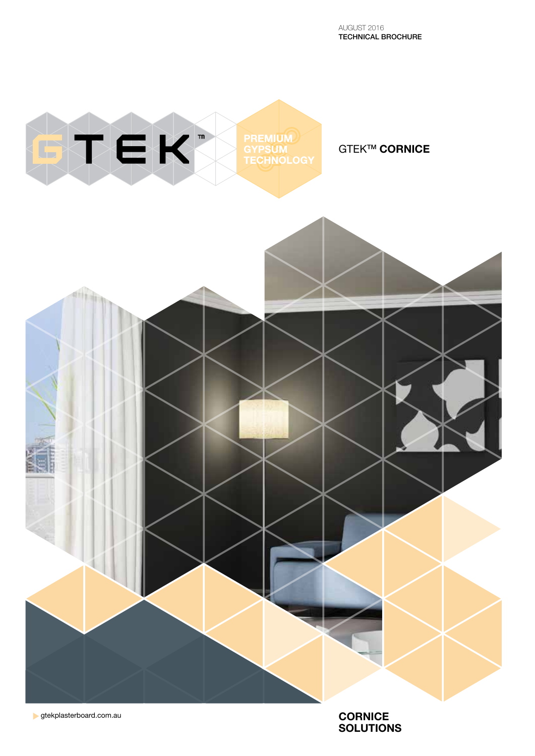

gtekplasterboard.com.au

**CORNICE SOLUTIONS**

AUGUST 2016 TECHNICAL BROCHURE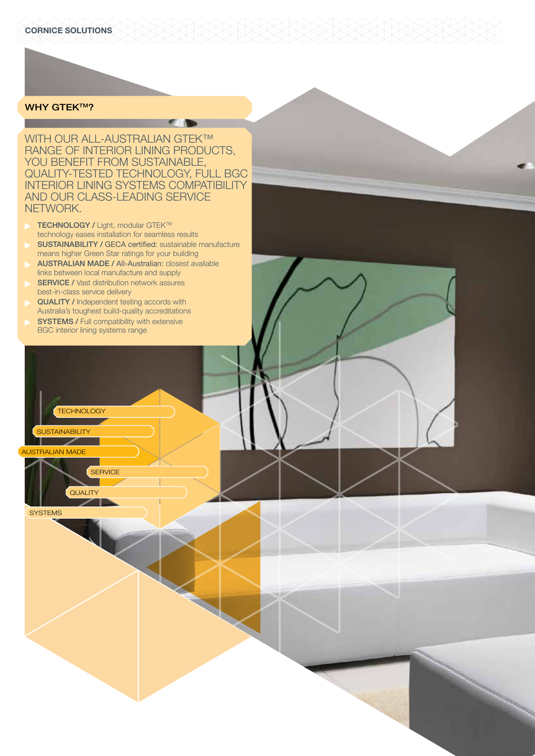# **WHY GTEK™?**

WITH OUR ALL-AUSTRALIAN GTEK™ RANGE OF INTERIOR LINING PRODUCTS, YOU BENEFIT FROM SUSTAINABLE, QUALITY-TESTED TECHNOLOGY, FULL BGC INTERIOR LINING SYSTEMS COMPATIBILITY AND OUR CLASS-LEADING SERVICE NETWORK.

 $\sqrt{2}$ 

- TECHNOLOGY / Light, modular GTEK™ technology eases installation for seamless results
- SUSTAINABILITY / GECA certified: sustainable manufacture means higher Green Star ratings for your building
- AUSTRALIAN MADE / All-Australian: closest available links between local manufacture and supply
- SERVICE / Vast distribution network assures best-in-class service delivery
- QUALITY / Independent testing accords with Australia's toughest build-quality accreditations
- **SYSTEMS / Full compatibility with extensive** BGC interior lining systems range

**SERVICE** 

QUALITY

AUSTRALIAN MADE

**SUSTAINABILITY** 

**TECHNOLOGY** 

**SYSTEMS**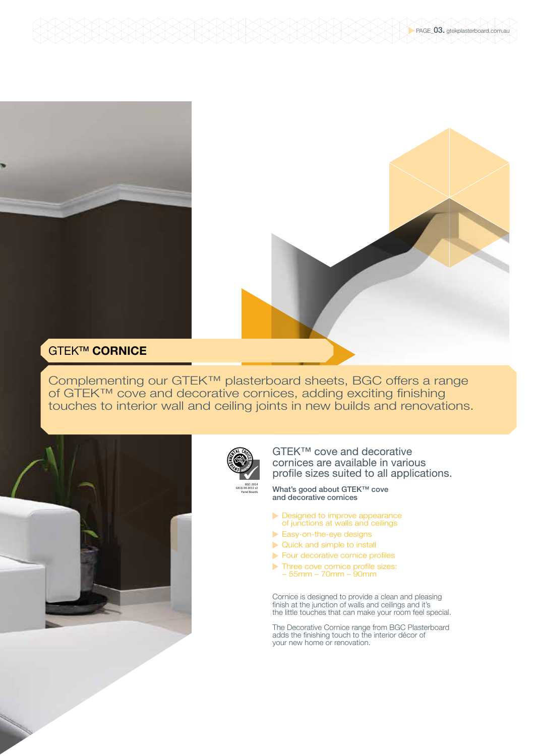

Complementing our GTEK™ plasterboard sheets, BGC offers a range of GTEK™ cove and decorative cornices, adding exciting finishing touches to interior wall and ceiling joints in new builds and renovations.





GTEK™ cove and decorative cornices are available in various profile sizes suited to all applications.

What's good about GTEK™ cove and decorative cornices

- Designed to improve appearance of junctions at walls and ceilings
- Easy-on-the-eye designs
- Quick and simple to install
- Four decorative cornice profiles
- Three cove cornice profile sizes: – 55mm – 70mm – 90mm

Cornice is designed to provide a clean and pleasing finish at the junction of walls and ceilings and it's the little touches that can make your room feel special.

The Decorative Cornice range from BGC Plasterboard adds the finishing touch to the interior décor of your new home or renovation.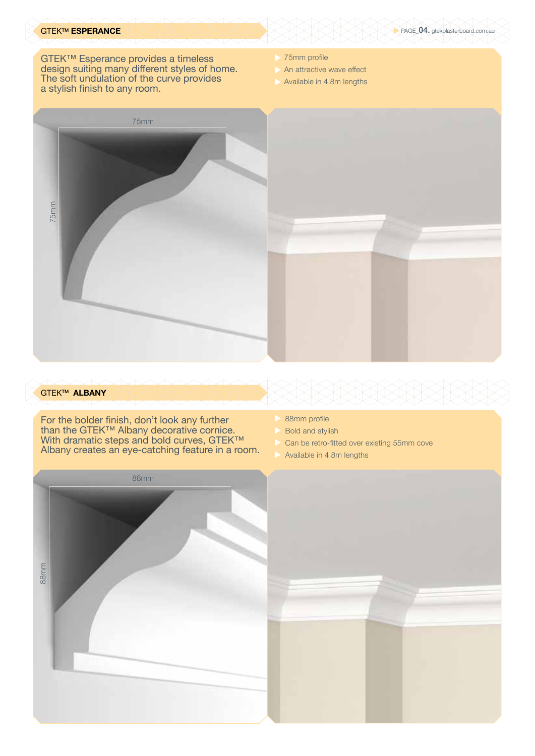# GTEKTM **ESPERANCE**

GTEK™ Esperance provides a timeless design suiting many different styles of home. The soft undulation of the curve provides a stylish finish to any room.

- 75mm profile
- An attractive wave effect
- Available in 4.8m lengths



## GTEKTM **ALBANY**

For the bolder finish, don't look any further than the GTEK™ Albany decorative cornice. With dramatic steps and bold curves, GTEK™ Albany creates an eye-catching feature in a room.

- 88mm profile
- Bold and stylish
- Can be retro-fitted over existing 55mm cove
- Available in 4.8m lengths



## PAGE\_04. gtekplasterboard.com.au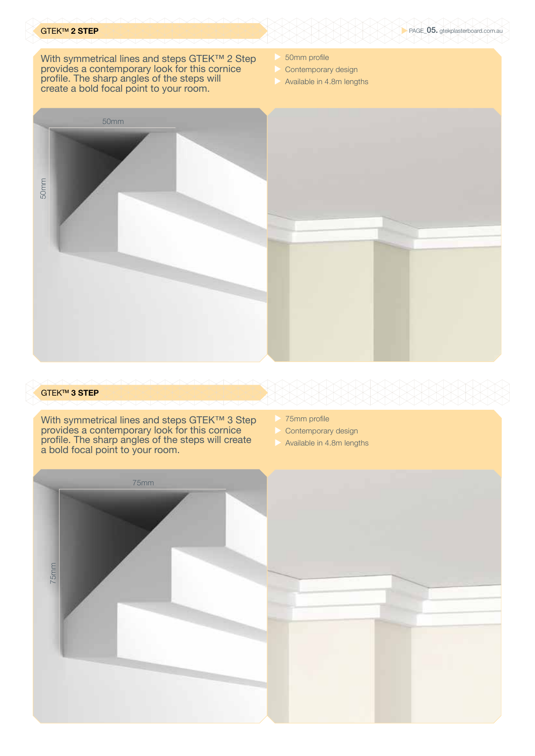With symmetrical lines and steps GTEK™ 2 Step provides a contemporary look for this cornice profile. The sharp angles of the steps will create a bold focal point to your room.

- 50mm profile
- Contemporary design
- Available in 4.8m lengths



## GTEKTM **3 STEP**

With symmetrical lines and steps GTEK™ 3 Step provides a contemporary look for this cornice profile. The sharp angles of the steps will create a bold focal point to your room.

- 75mm profile
- Contemporary design
- Available in 4.8m lengths

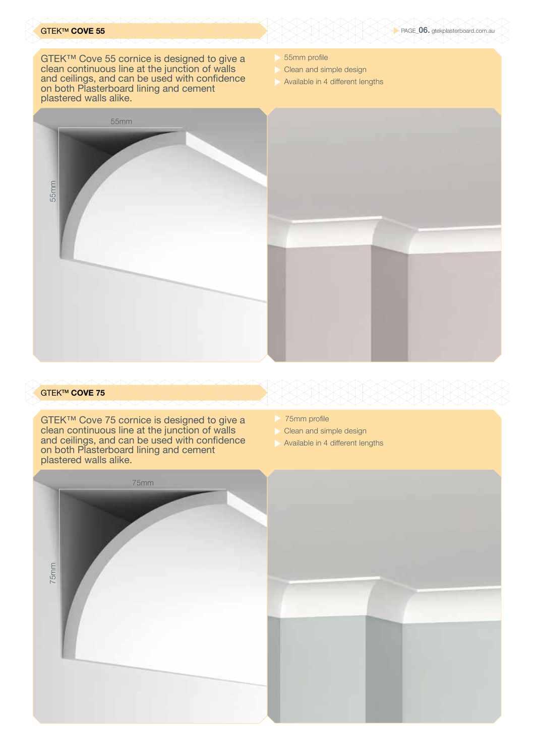# GTEKTM **COVE 55**

GTEK™ Cove 55 cornice is designed to give a clean continuous line at the junction of walls and ceilings, and can be used with confidence on both Plasterboard lining and cement plastered walls alike.

- 55mm profile
- Clean and simple design
- Available in 4 different lengths



## GTEKTM **COVE 75**

GTEK™ Cove 75 cornice is designed to give a clean continuous line at the junction of walls and ceilings, and can be used with confidence on both Plasterboard lining and cement plastered walls alike.

- 75mm profile
- Clean and simple design
- Available in 4 different lengths



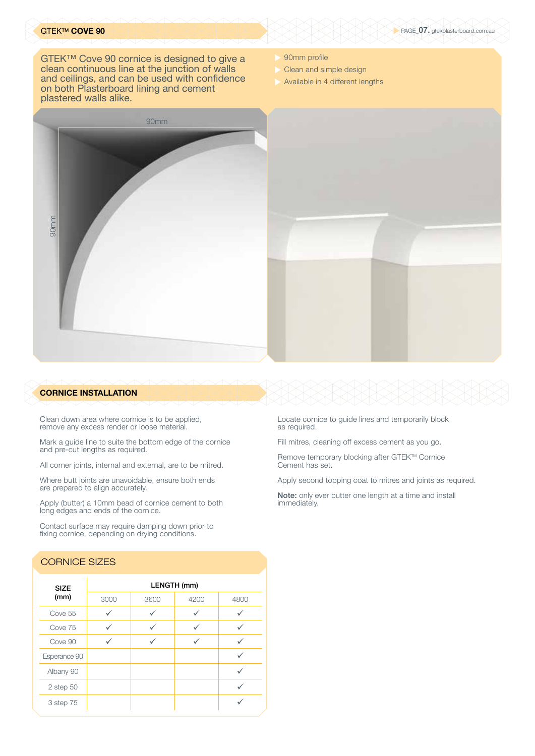## GTEKTM **COVE 90**

GTEK™ Cove 90 cornice is designed to give a clean continuous line at the junction of walls and ceilings, and can be used with confidence on both Plasterboard lining and cement plastered walls alike.

- 90mm profile
- Clean and simple design
- Available in 4 different lengths



### **CORNICE INSTALLATION**

Clean down area where cornice is to be applied, remove any excess render or loose material.

Mark a guide line to suite the bottom edge of the cornice and pre-cut lengths as required.

All corner joints, internal and external, are to be mitred.

Where butt joints are unavoidable, ensure both ends are prepared to align accurately.

Apply (butter) a 10mm bead of cornice cement to both long edges and ends of the cornice.

Contact surface may require damping down prior to fixing cornice, depending on drying conditions.

# CORNICE SIZES

| <b>SIZE</b><br>(mm) | LENGTH (mm) |      |      |      |
|---------------------|-------------|------|------|------|
|                     | 3000        | 3600 | 4200 | 4800 |
| Cove 55             |             |      |      |      |
| Cove 75             |             |      |      |      |
| Cove 90             |             |      |      |      |
| Esperance 90        |             |      |      |      |
| Albany 90           |             |      |      |      |
| $2$ step $50$       |             |      |      |      |
| 3 step 75           |             |      |      |      |

Locate cornice to guide lines and temporarily block as required.

Fill mitres, cleaning off excess cement as you go.

Remove temporary blocking after GTEK™ Cornice Cement has set.

Apply second topping coat to mitres and joints as required.

Note: only ever butter one length at a time and install immediately.